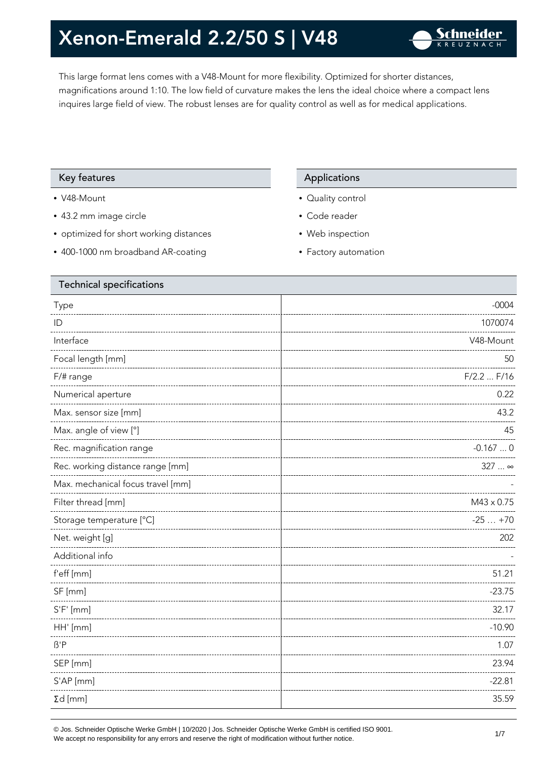This large format lens comes with a V48-Mount for more flexibility. Optimized for shorter distances, magnifications around 1:10. The low field of curvature makes the lens the ideal choice where a compact lens inquires large field of view. The robust lenses are for quality control as well as for medical applications.

#### Key features **Applications** Applications

- V48-Mount
- 43.2 mm image circle
- optimized for short working distances
- 400-1000 nm broadband AR-coating

- Quality control
- Code reader
- Web inspection
- Factory automation

| <b>Technical specifications</b>   |                   |  |
|-----------------------------------|-------------------|--|
| Type                              | $-0004$           |  |
| ID                                | 1070074           |  |
| Interface                         | V48-Mount         |  |
| Focal length [mm]                 | 50                |  |
| F/# range                         | F/2.2  F/16       |  |
| Numerical aperture                | 0.22              |  |
| Max. sensor size [mm]             | 43.2              |  |
| Max. angle of view [°]            | 45                |  |
| Rec. magnification range          | $-0.1670$         |  |
| Rec. working distance range [mm]  | 327  ∞            |  |
| Max. mechanical focus travel [mm] |                   |  |
| Filter thread [mm]                | $M43 \times 0.75$ |  |
| Storage temperature [°C]          | $-25+70$          |  |
| Net. weight [g]                   | 202               |  |
| Additional info                   |                   |  |
| f'eff [mm]                        | 51.21             |  |
| SF [mm]                           | $-23.75$          |  |
| $S'F'$ [mm]                       | 32.17             |  |
| HH' [mm]                          | $-10.90$          |  |
| $\beta'$ P                        | 1.07              |  |
| SEP [mm]                          | 23.94             |  |
| S'AP [mm]                         | $-22.81$          |  |
| $\Sigma d$ [mm]                   | 35.59             |  |
|                                   |                   |  |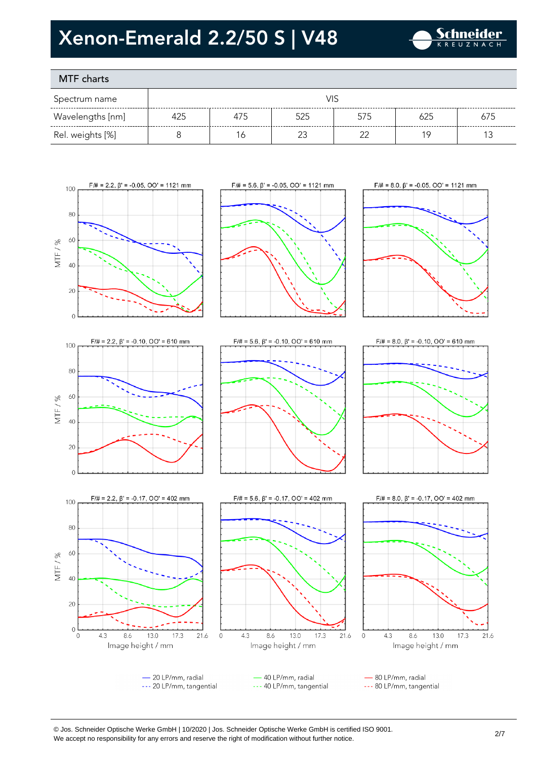

### MTF charts

| Spectrum name    |     |     |     |     |     |     |
|------------------|-----|-----|-----|-----|-----|-----|
| Wavelengths [nm] | 425 | 475 | 525 | 575 | 625 | 675 |
| Rel. weights [%] |     | ١Ć  |     | ≘∼  |     |     |









 $\overline{0}$ 

100

80

60

40

20

 $\Omega$ ° o

 $4.3$ 

MTF/%









- 40 LP/mm, radial --- 40 LP/mm, tangential

- 80 LP/mm, radial --- 80 LP/mm, tangential

8.6

13.0

17.3

21.6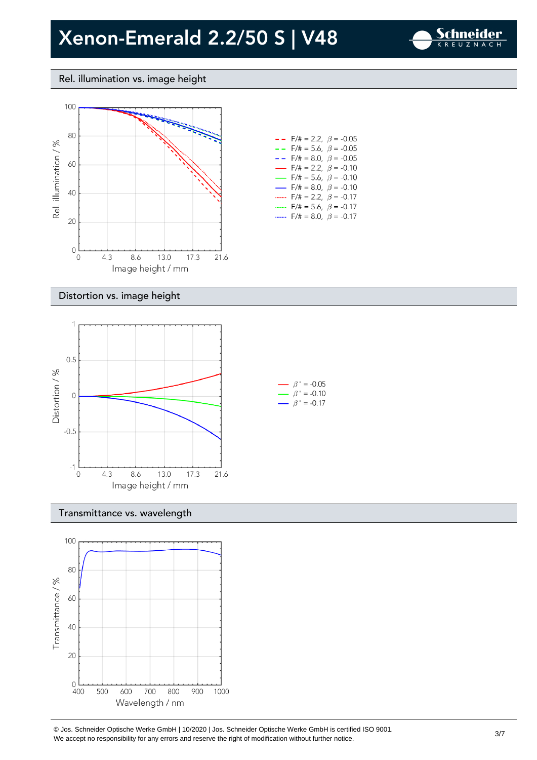$F/\# = 2.2, \ \beta = -0.10$  $F/\# = 5.6$ ,  $\beta = -0.10$  $F/\# = 8.0, \ \beta = -0.10$ 



#### Rel. illumination vs. image height



### Distortion vs. image height



#### Transmittance vs. wavelength

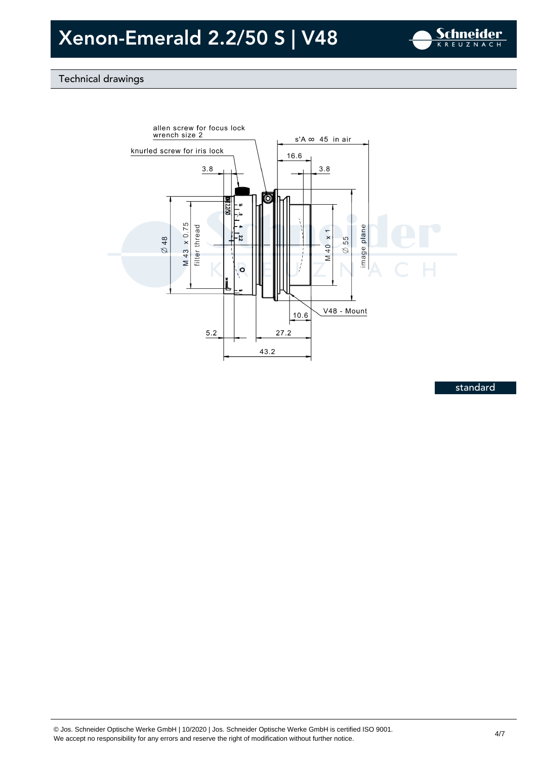

### Technical drawings



standard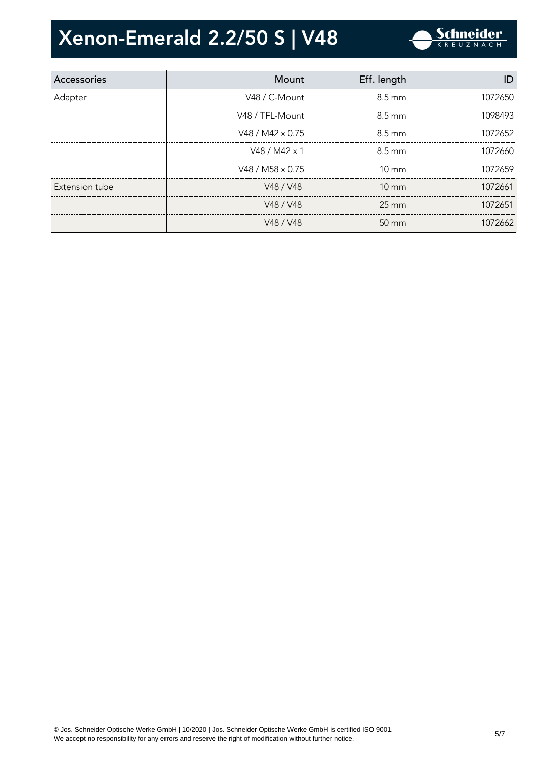

| Accessories    | Mount                   | Eff. length       | ID      |
|----------------|-------------------------|-------------------|---------|
| Adapter        | V48 / C-Mount           | 8.5 mm            | 1072650 |
|                | V48 / TFL-Mount         | 8.5 mm            | 1098493 |
|                | V48 / M42 $\times$ 0.75 | 8.5 mm            | 1072652 |
|                | V48 / M42 x 1           | $8.5 \text{ mm}$  | 1072660 |
|                | V48 / M58 $\times$ 0.75 | $10 \text{ mm}$   | 1072659 |
| Extension tube | V48 / V48               | $10 \text{ mm}$   | 1072661 |
|                | V48 / V48               | $25 \text{ mm}$   | 1072651 |
|                | V48 / V48               | $50 \, \text{mm}$ | 1072662 |